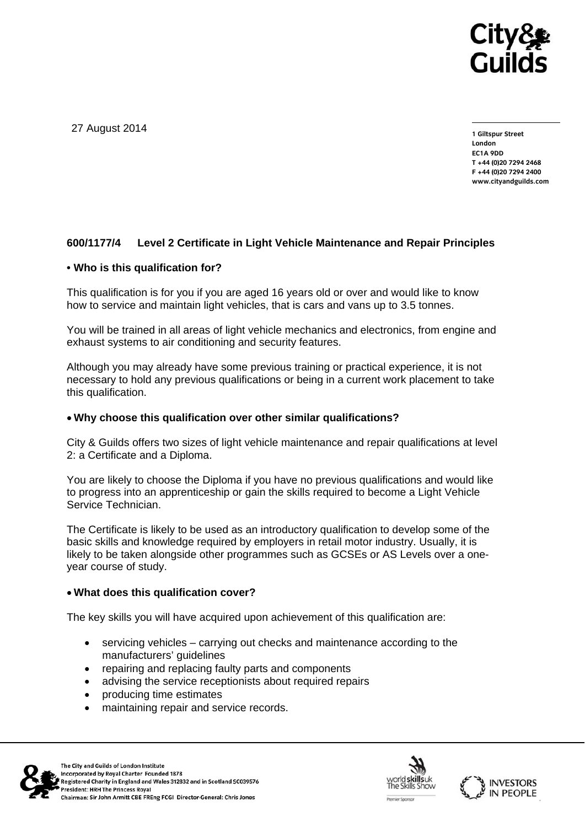

27 August 2014

**1 Giltspur Street London EC1A 9DD T +44 (0)20 7294 2468 F +44 (0)20 7294 2400 www.cityandguilds.com** 

## **600/1177/4 Level 2 Certificate in Light Vehicle Maintenance and Repair Principles**

#### **• Who is this qualification for?**

This qualification is for you if you are aged 16 years old or over and would like to know how to service and maintain light vehicles, that is cars and vans up to 3.5 tonnes.

You will be trained in all areas of light vehicle mechanics and electronics, from engine and exhaust systems to air conditioning and security features.

Although you may already have some previous training or practical experience, it is not necessary to hold any previous qualifications or being in a current work placement to take this qualification.

### **Why choose this qualification over other similar qualifications?**

City & Guilds offers two sizes of light vehicle maintenance and repair qualifications at level 2: a Certificate and a Diploma.

You are likely to choose the Diploma if you have no previous qualifications and would like to progress into an apprenticeship or gain the skills required to become a Light Vehicle Service Technician.

The Certificate is likely to be used as an introductory qualification to develop some of the basic skills and knowledge required by employers in retail motor industry. Usually, it is likely to be taken alongside other programmes such as GCSEs or AS Levels over a oneyear course of study.

#### **What does this qualification cover?**

The key skills you will have acquired upon achievement of this qualification are:

- servicing vehicles carrying out checks and maintenance according to the manufacturers' guidelines
- repairing and replacing faulty parts and components
- advising the service receptionists about required repairs
- producing time estimates
- maintaining repair and service records.